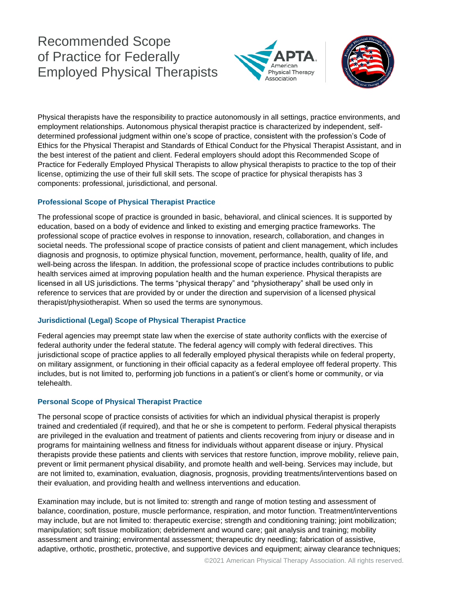## Recommended Scope of Practice for Federally Employed Physical Therapists





Physical therapists have the responsibility to practice autonomously in all settings, practice environments, and employment relationships. Autonomous physical therapist practice is characterized by independent, selfdetermined professional judgment within one's scope of practice, consistent with the profession's Code of Ethics for the Physical Therapist and Standards of Ethical Conduct for the Physical Therapist Assistant, and in the best interest of the patient and client. Federal employers should adopt this Recommended Scope of Practice for Federally Employed Physical Therapists to allow physical therapists to practice to the top of their license, optimizing the use of their full skill sets. The scope of practice for physical therapists has 3 components: professional, jurisdictional, and personal.

## **Professional Scope of Physical Therapist Practice**

The professional scope of practice is grounded in basic, behavioral, and clinical sciences. It is supported by education, based on a body of evidence and linked to existing and emerging practice frameworks. The professional scope of practice evolves in response to innovation, research, collaboration, and changes in societal needs. The professional scope of practice consists of patient and client management, which includes diagnosis and prognosis, to optimize physical function, movement, performance, health, quality of life, and well-being across the lifespan. In addition, the professional scope of practice includes contributions to public health services aimed at improving population health and the human experience. Physical therapists are licensed in all US jurisdictions. The terms "physical therapy" and "physiotherapy" shall be used only in reference to services that are provided by or under the direction and supervision of a licensed physical therapist/physiotherapist. When so used the terms are synonymous.

## **Jurisdictional (Legal) Scope of Physical Therapist Practice**

Federal agencies may preempt state law when the exercise of state authority conflicts with the exercise of federal authority under the federal statute. The federal agency will comply with federal directives. This jurisdictional scope of practice applies to all federally employed physical therapists while on federal property, on military assignment, or functioning in their official capacity as a federal employee off federal property. This includes, but is not limited to, performing job functions in a patient's or client's home or community, or via telehealth.

## **Personal Scope of Physical Therapist Practice**

The personal scope of practice consists of activities for which an individual physical therapist is properly trained and credentialed (if required), and that he or she is competent to perform. Federal physical therapists are privileged in the evaluation and treatment of patients and clients recovering from injury or disease and in programs for maintaining wellness and fitness for individuals without apparent disease or injury. Physical therapists provide these patients and clients with services that restore function, improve mobility, relieve pain, prevent or limit permanent physical disability, and promote health and well-being. Services may include, but are not limited to, examination, evaluation, diagnosis, prognosis, providing treatments/interventions based on their evaluation, and providing health and wellness interventions and education.

Examination may include, but is not limited to: strength and range of motion testing and assessment of balance, coordination, posture, muscle performance, respiration, and motor function. Treatment/interventions may include, but are not limited to: therapeutic exercise; strength and conditioning training; joint mobilization; manipulation; soft tissue mobilization; debridement and wound care; gait analysis and training; mobility assessment and training; environmental assessment; therapeutic dry needling; fabrication of assistive, adaptive, orthotic, prosthetic, protective, and supportive devices and equipment; airway clearance techniques;